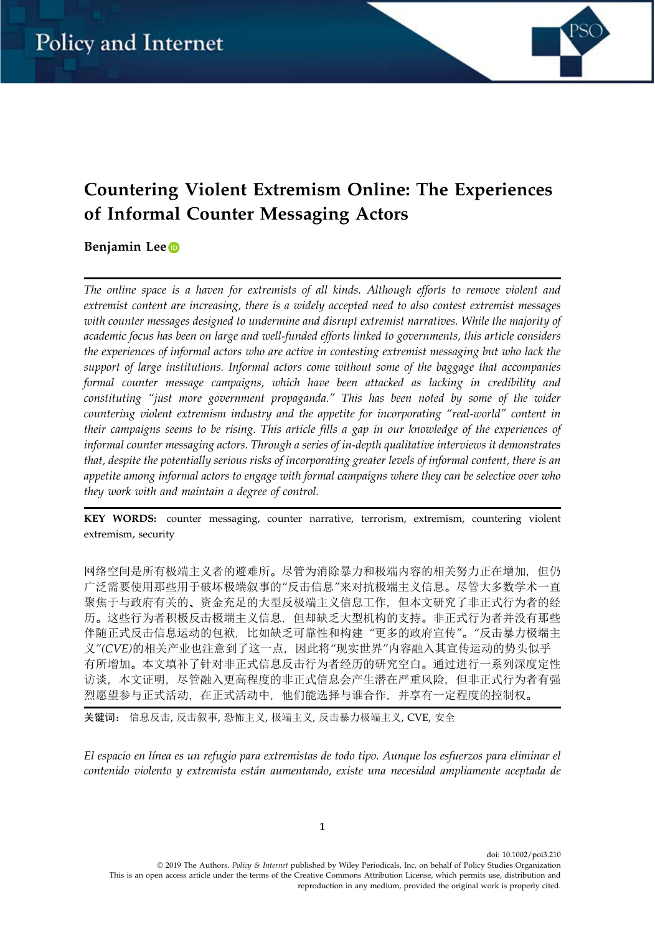

# Countering Violent Extremism Online: The Experiences of Informal Counter Messaging Actors

# Benjamin Le[e](http://orcid.org/0000-0001-7055-6387)

The online space is a haven for extremists of all kinds. Although efforts to remove violent and extremist content are increasing, there is a widely accepted need to also contest extremist messages with counter messages designed to undermine and disrupt extremist narratives. While the majority of academic focus has been on large and well‐funded efforts linked to governments, this article considers the experiences of informal actors who are active in contesting extremist messaging but who lack the support of large institutions. Informal actors come without some of the baggage that accompanies formal counter message campaigns, which have been attacked as lacking in credibility and constituting "just more government propaganda." This has been noted by some of the wider countering violent extremism industry and the appetite for incorporating "real‐world" content in their campaigns seems to be rising. This article fills a gap in our knowledge of the experiences of informal counter messaging actors. Through a series of in‐depth qualitative interviews it demonstrates that, despite the potentially serious risks of incorporating greater levels of informal content, there is an appetite among informal actors to engage with formal campaigns where they can be selective over who they work with and maintain a degree of control.

KEY WORDS: counter messaging, counter narrative, terrorism, extremism, countering violent extremism, security

网络空间是所有极端主义者的避难所。尽管为消除暴力和极端内容的相关努力正在增加,但仍 广泛需要使用那些用于破坏极端叙事的"反击信息"来对抗极端主义信息。尽管大多数学术一直 聚焦于与政府有关的、资金充足的大型反极端主义信息工作,但本文研究了非正式行为者的经 历。这些行为者积极反击极端主义信息,但却缺乏大型机构的支持。非正式行为者并没有那些 伴随正式反击信息运动的包袱, 比如缺乏可靠性和构建"更多的政府宣传"。"反击暴力极端主 义"(CVE)的相关产业也注意到了这一点, 因此将"现实世界"内容融入其宣传运动的势头似乎 有所增加。本文填补了针对非正式信息反击行为者经历的研究空白。通过进行一系列深度定性 访谈,本文证明,尽管融入更高程度的非正式信息会产生潜在严重风险,但非正式行为者有强 烈愿望参与正式活动,在正式活动中,他们能选择与谁合作,并享有一定程度的控制权。

关键词: 信息反击, 反击叙事, 恐怖主义, 极端主义, 反击暴力极端主义, CVE, 安全

El espacio en línea es un refugio para extremistas de todo tipo. Aunque los esfuerzos para eliminar el contenido violento y extremista están aumentando, existe una necesidad ampliamente aceptada de

doi: 10.1002/poi3.210 © 2019 The Authors. Policy & Internet published by Wiley Periodicals, Inc. on behalf of Policy Studies Organization This is an open access article under the terms of the Creative Commons Attribution License, which permits use, distribution and reproduction in any medium, provided the original work is properly cited.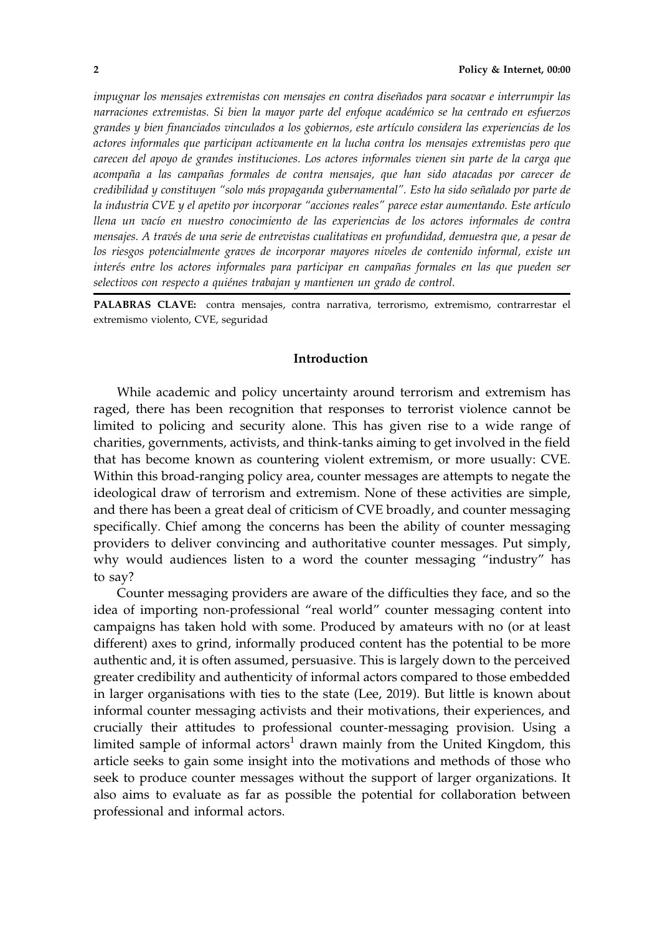impugnar los mensajes extremistas con mensajes en contra diseñados para socavar e interrumpir las narraciones extremistas. Si bien la mayor parte del enfoque académico se ha centrado en esfuerzos grandes y bien financiados vinculados a los gobiernos, este artículo considera las experiencias de los actores informales que participan activamente en la lucha contra los mensajes extremistas pero que carecen del apoyo de grandes instituciones. Los actores informales vienen sin parte de la carga que acompaña a las campañas formales de contra mensajes, que han sido atacadas por carecer de credibilidad y constituyen "solo más propaganda gubernamental". Esto ha sido señalado por parte de la industria CVE y el apetito por incorporar "acciones reales" parece estar aumentando. Este artículo llena un vacío en nuestro conocimiento de las experiencias de los actores informales de contra mensajes. A través de una serie de entrevistas cualitativas en profundidad, demuestra que, a pesar de los riesgos potencialmente graves de incorporar mayores niveles de contenido informal, existe un interés entre los actores informales para participar en campañas formales en las que pueden ser selectivos con respecto a quiénes trabajan y mantienen un grado de control.

PALABRAS CLAVE: contra mensajes, contra narrativa, terrorismo, extremismo, contrarrestar el extremismo violento, CVE, seguridad

# Introduction

While academic and policy uncertainty around terrorism and extremism has raged, there has been recognition that responses to terrorist violence cannot be limited to policing and security alone. This has given rise to a wide range of charities, governments, activists, and think‐tanks aiming to get involved in the field that has become known as countering violent extremism, or more usually: CVE. Within this broad-ranging policy area, counter messages are attempts to negate the ideological draw of terrorism and extremism. None of these activities are simple, and there has been a great deal of criticism of CVE broadly, and counter messaging specifically. Chief among the concerns has been the ability of counter messaging providers to deliver convincing and authoritative counter messages. Put simply, why would audiences listen to a word the counter messaging "industry" has to say?

Counter messaging providers are aware of the difficulties they face, and so the idea of importing non‐professional "real world" counter messaging content into campaigns has taken hold with some. Produced by amateurs with no (or at least different) axes to grind, informally produced content has the potential to be more authentic and, it is often assumed, persuasive. This is largely down to the perceived greater credibility and authenticity of informal actors compared to those embedded in larger organisations with ties to the state (Lee, 2019). But little is known about informal counter messaging activists and their motivations, their experiences, and crucially their attitudes to professional counter‐messaging provision. Using a limited sample of informal actors<sup>1</sup> drawn mainly from the United Kingdom, this article seeks to gain some insight into the motivations and methods of those who seek to produce counter messages without the support of larger organizations. It also aims to evaluate as far as possible the potential for collaboration between professional and informal actors.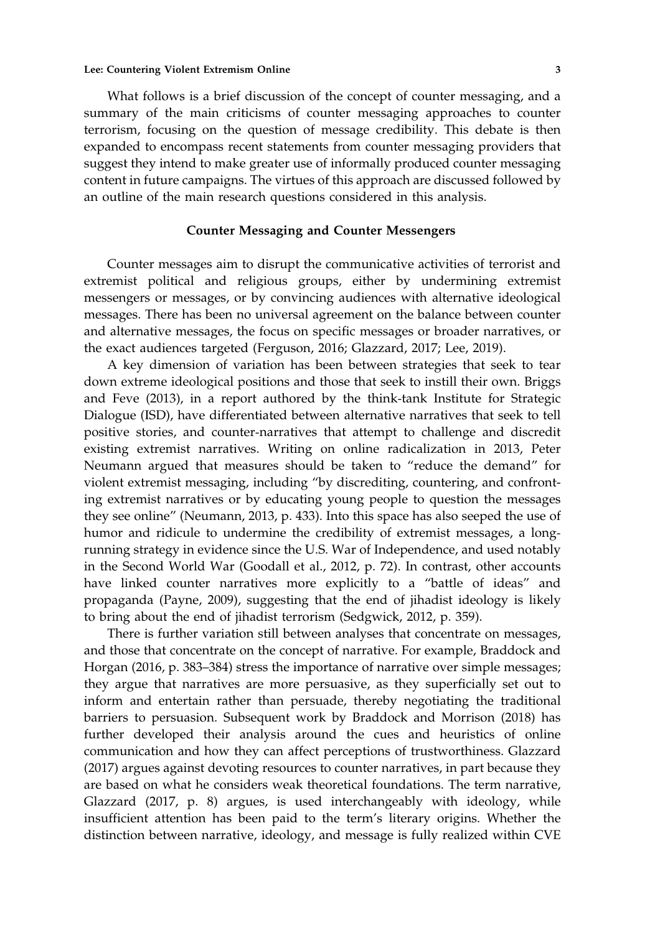#### Lee: Countering Violent Extremism Online 3 3

What follows is a brief discussion of the concept of counter messaging, and a summary of the main criticisms of counter messaging approaches to counter terrorism, focusing on the question of message credibility. This debate is then expanded to encompass recent statements from counter messaging providers that suggest they intend to make greater use of informally produced counter messaging content in future campaigns. The virtues of this approach are discussed followed by an outline of the main research questions considered in this analysis.

# Counter Messaging and Counter Messengers

Counter messages aim to disrupt the communicative activities of terrorist and extremist political and religious groups, either by undermining extremist messengers or messages, or by convincing audiences with alternative ideological messages. There has been no universal agreement on the balance between counter and alternative messages, the focus on specific messages or broader narratives, or the exact audiences targeted (Ferguson, 2016; Glazzard, 2017; Lee, 2019).

A key dimension of variation has been between strategies that seek to tear down extreme ideological positions and those that seek to instill their own. Briggs and Feve (2013), in a report authored by the think‐tank Institute for Strategic Dialogue (ISD), have differentiated between alternative narratives that seek to tell positive stories, and counter‐narratives that attempt to challenge and discredit existing extremist narratives. Writing on online radicalization in 2013, Peter Neumann argued that measures should be taken to "reduce the demand" for violent extremist messaging, including "by discrediting, countering, and confronting extremist narratives or by educating young people to question the messages they see online" (Neumann, 2013, p. 433). Into this space has also seeped the use of humor and ridicule to undermine the credibility of extremist messages, a longrunning strategy in evidence since the U.S. War of Independence, and used notably in the Second World War (Goodall et al., 2012, p. 72). In contrast, other accounts have linked counter narratives more explicitly to a "battle of ideas" and propaganda (Payne, 2009), suggesting that the end of jihadist ideology is likely to bring about the end of jihadist terrorism (Sedgwick, 2012, p. 359).

There is further variation still between analyses that concentrate on messages, and those that concentrate on the concept of narrative. For example, Braddock and Horgan (2016, p. 383–384) stress the importance of narrative over simple messages; they argue that narratives are more persuasive, as they superficially set out to inform and entertain rather than persuade, thereby negotiating the traditional barriers to persuasion. Subsequent work by Braddock and Morrison (2018) has further developed their analysis around the cues and heuristics of online communication and how they can affect perceptions of trustworthiness. Glazzard (2017) argues against devoting resources to counter narratives, in part because they are based on what he considers weak theoretical foundations. The term narrative, Glazzard (2017, p. 8) argues, is used interchangeably with ideology, while insufficient attention has been paid to the term's literary origins. Whether the distinction between narrative, ideology, and message is fully realized within CVE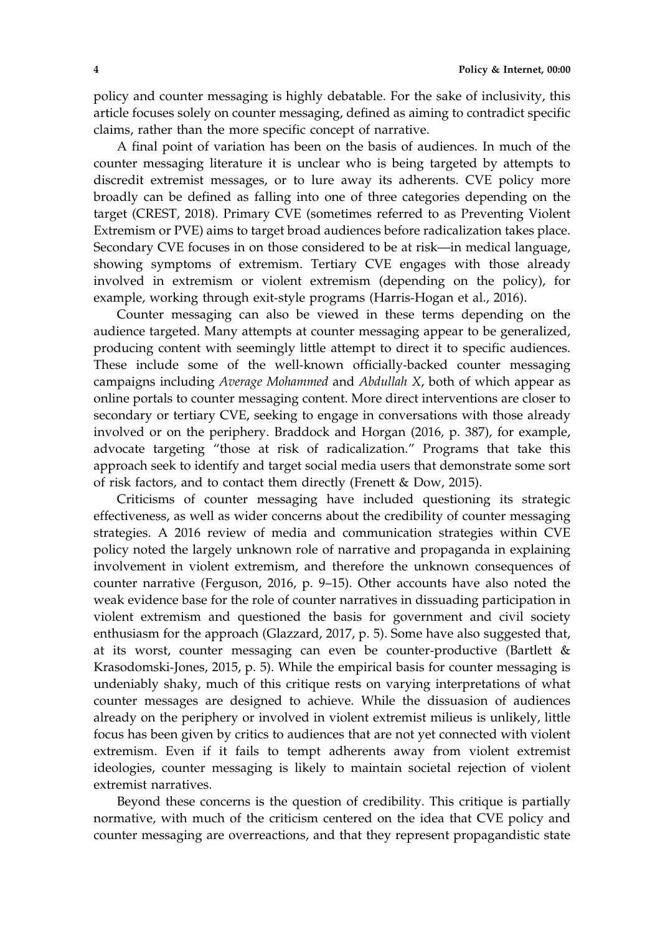policy and counter messaging is highly debatable. For the sake of inclusivity, this article focuses solely on counter messaging, defined as aiming to contradict specific claims, rather than the more specific concept of narrative.

A final point of variation has been on the basis of audiences. In much of the counter messaging literature it is unclear who is being targeted by attempts to discredit extremist messages, or to lure away its adherents. CVE policy more broadly can be defined as falling into one of three categories depending on the target (CREST, 2018). Primary CVE (sometimes referred to as Preventing Violent Extremism or PVE) aims to target broad audiences before radicalization takes place. Secondary CVE focuses in on those considered to be at risk—in medical language, showing symptoms of extremism. Tertiary CVE engages with those already involved in extremism or violent extremism (depending on the policy), for example, working through exit‐style programs (Harris‐Hogan et al., 2016).

Counter messaging can also be viewed in these terms depending on the audience targeted. Many attempts at counter messaging appear to be generalized, producing content with seemingly little attempt to direct it to specific audiences. These include some of the well-known officially-backed counter messaging campaigns including Average Mohammed and Abdullah X, both of which appear as online portals to counter messaging content. More direct interventions are closer to secondary or tertiary CVE, seeking to engage in conversations with those already involved or on the periphery. Braddock and Horgan (2016, p. 387), for example, advocate targeting "those at risk of radicalization." Programs that take this approach seek to identify and target social media users that demonstrate some sort of risk factors, and to contact them directly (Frenett & Dow, 2015).

Criticisms of counter messaging have included questioning its strategic effectiveness, as well as wider concerns about the credibility of counter messaging strategies. A 2016 review of media and communication strategies within CVE policy noted the largely unknown role of narrative and propaganda in explaining involvement in violent extremism, and therefore the unknown consequences of counter narrative (Ferguson, 2016, p. 9–15). Other accounts have also noted the weak evidence base for the role of counter narratives in dissuading participation in violent extremism and questioned the basis for government and civil society enthusiasm for the approach (Glazzard, 2017, p. 5). Some have also suggested that, at its worst, counter messaging can even be counter‐productive (Bartlett & Krasodomski-Jones, 2015, p. 5). While the empirical basis for counter messaging is undeniably shaky, much of this critique rests on varying interpretations of what counter messages are designed to achieve. While the dissuasion of audiences already on the periphery or involved in violent extremist milieus is unlikely, little focus has been given by critics to audiences that are not yet connected with violent extremism. Even if it fails to tempt adherents away from violent extremist ideologies, counter messaging is likely to maintain societal rejection of violent extremist narratives.

Beyond these concerns is the question of credibility. This critique is partially normative, with much of the criticism centered on the idea that CVE policy and counter messaging are overreactions, and that they represent propagandistic state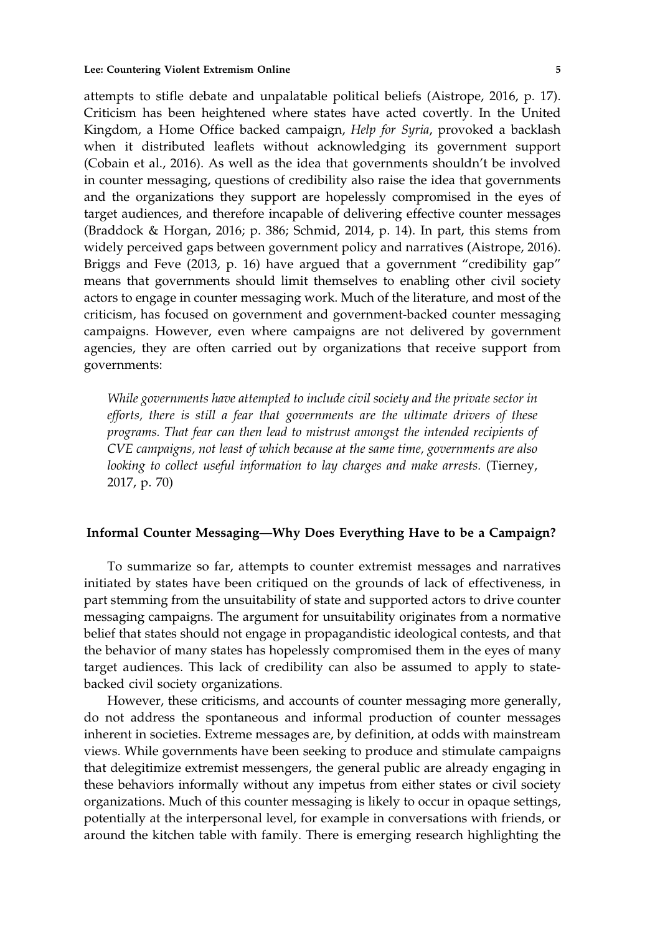attempts to stifle debate and unpalatable political beliefs (Aistrope, 2016, p. 17). Criticism has been heightened where states have acted covertly. In the United Kingdom, a Home Office backed campaign, Help for Syria, provoked a backlash when it distributed leaflets without acknowledging its government support (Cobain et al., 2016). As well as the idea that governments shouldn't be involved in counter messaging, questions of credibility also raise the idea that governments and the organizations they support are hopelessly compromised in the eyes of target audiences, and therefore incapable of delivering effective counter messages (Braddock & Horgan, 2016; p. 386; Schmid, 2014, p. 14). In part, this stems from widely perceived gaps between government policy and narratives (Aistrope, 2016). Briggs and Feve (2013, p. 16) have argued that a government "credibility gap" means that governments should limit themselves to enabling other civil society actors to engage in counter messaging work. Much of the literature, and most of the criticism, has focused on government and government‐backed counter messaging campaigns. However, even where campaigns are not delivered by government agencies, they are often carried out by organizations that receive support from governments:

While governments have attempted to include civil society and the private sector in efforts, there is still a fear that governments are the ultimate drivers of these programs. That fear can then lead to mistrust amongst the intended recipients of CVE campaigns, not least of which because at the same time, governments are also looking to collect useful information to lay charges and make arrests. (Tierney, 2017, p. 70)

# Informal Counter Messaging—Why Does Everything Have to be a Campaign?

To summarize so far, attempts to counter extremist messages and narratives initiated by states have been critiqued on the grounds of lack of effectiveness, in part stemming from the unsuitability of state and supported actors to drive counter messaging campaigns. The argument for unsuitability originates from a normative belief that states should not engage in propagandistic ideological contests, and that the behavior of many states has hopelessly compromised them in the eyes of many target audiences. This lack of credibility can also be assumed to apply to statebacked civil society organizations.

However, these criticisms, and accounts of counter messaging more generally, do not address the spontaneous and informal production of counter messages inherent in societies. Extreme messages are, by definition, at odds with mainstream views. While governments have been seeking to produce and stimulate campaigns that delegitimize extremist messengers, the general public are already engaging in these behaviors informally without any impetus from either states or civil society organizations. Much of this counter messaging is likely to occur in opaque settings, potentially at the interpersonal level, for example in conversations with friends, or around the kitchen table with family. There is emerging research highlighting the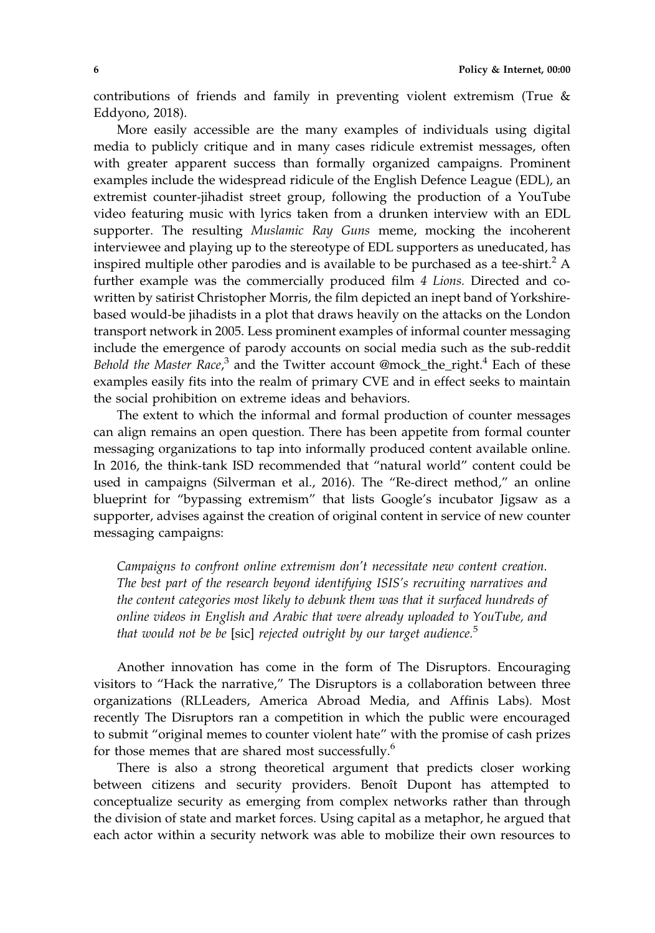contributions of friends and family in preventing violent extremism (True & Eddyono, 2018).

More easily accessible are the many examples of individuals using digital media to publicly critique and in many cases ridicule extremist messages, often with greater apparent success than formally organized campaigns. Prominent examples include the widespread ridicule of the English Defence League (EDL), an extremist counter-jihadist street group, following the production of a YouTube video featuring music with lyrics taken from a drunken interview with an EDL supporter. The resulting Muslamic Ray Guns meme, mocking the incoherent interviewee and playing up to the stereotype of EDL supporters as uneducated, has inspired multiple other parodies and is available to be purchased as a tee-shirt.<sup>2</sup> A further example was the commercially produced film 4 Lions. Directed and cowritten by satirist Christopher Morris, the film depicted an inept band of Yorkshirebased would‐be jihadists in a plot that draws heavily on the attacks on the London transport network in 2005. Less prominent examples of informal counter messaging include the emergence of parody accounts on social media such as the sub‐reddit Behold the Master Race,<sup>3</sup> and the Twitter account @mock\_the\_right.<sup>4</sup> Each of these examples easily fits into the realm of primary CVE and in effect seeks to maintain the social prohibition on extreme ideas and behaviors.

The extent to which the informal and formal production of counter messages can align remains an open question. There has been appetite from formal counter messaging organizations to tap into informally produced content available online. In 2016, the think‐tank ISD recommended that "natural world" content could be used in campaigns (Silverman et al., 2016). The "Re-direct method," an online blueprint for "bypassing extremism" that lists Google's incubator Jigsaw as a supporter, advises against the creation of original content in service of new counter messaging campaigns:

Campaigns to confront online extremism don't necessitate new content creation. The best part of the research beyond identifying ISIS's recruiting narratives and the content categories most likely to debunk them was that it surfaced hundreds of online videos in English and Arabic that were already uploaded to YouTube, and that would not be be [sic] rejected outright by our target audience.<sup>5</sup>

Another innovation has come in the form of The Disruptors. Encouraging visitors to "Hack the narrative," The Disruptors is a collaboration between three organizations (RLLeaders, America Abroad Media, and Affinis Labs). Most recently The Disruptors ran a competition in which the public were encouraged to submit "original memes to counter violent hate" with the promise of cash prizes for those memes that are shared most successfully.<sup>6</sup>

There is also a strong theoretical argument that predicts closer working between citizens and security providers. Benoît Dupont has attempted to conceptualize security as emerging from complex networks rather than through the division of state and market forces. Using capital as a metaphor, he argued that each actor within a security network was able to mobilize their own resources to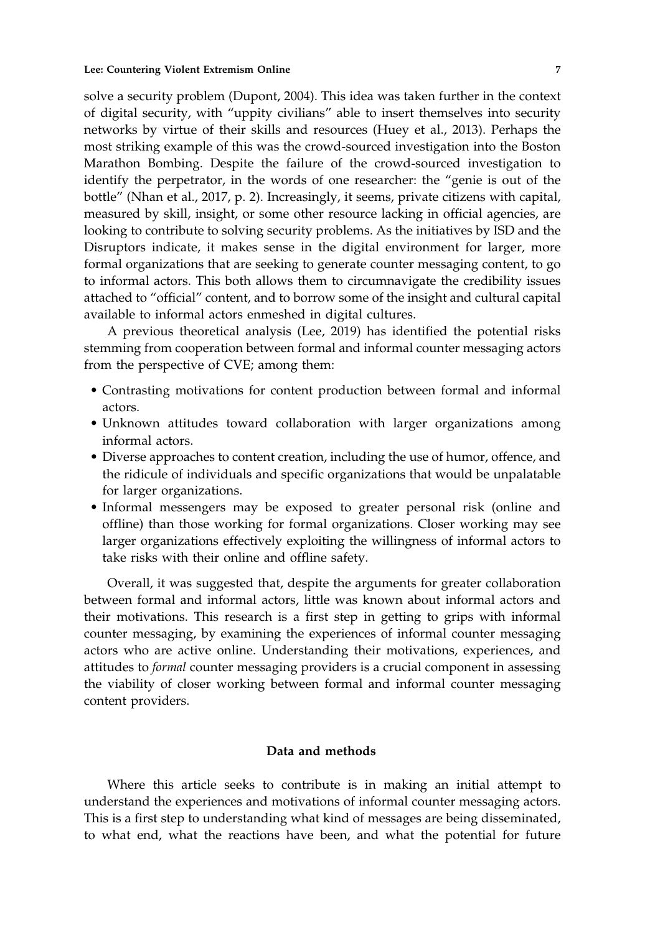solve a security problem (Dupont, 2004). This idea was taken further in the context of digital security, with "uppity civilians" able to insert themselves into security networks by virtue of their skills and resources (Huey et al., 2013). Perhaps the most striking example of this was the crowd‐sourced investigation into the Boston Marathon Bombing. Despite the failure of the crowd‐sourced investigation to identify the perpetrator, in the words of one researcher: the "genie is out of the bottle" (Nhan et al., 2017, p. 2). Increasingly, it seems, private citizens with capital, measured by skill, insight, or some other resource lacking in official agencies, are looking to contribute to solving security problems. As the initiatives by ISD and the Disruptors indicate, it makes sense in the digital environment for larger, more formal organizations that are seeking to generate counter messaging content, to go to informal actors. This both allows them to circumnavigate the credibility issues attached to "official" content, and to borrow some of the insight and cultural capital available to informal actors enmeshed in digital cultures.

A previous theoretical analysis (Lee, 2019) has identified the potential risks stemming from cooperation between formal and informal counter messaging actors from the perspective of CVE; among them:

- Contrasting motivations for content production between formal and informal actors.
- Unknown attitudes toward collaboration with larger organizations among informal actors.
- Diverse approaches to content creation, including the use of humor, offence, and the ridicule of individuals and specific organizations that would be unpalatable for larger organizations.
- Informal messengers may be exposed to greater personal risk (online and offline) than those working for formal organizations. Closer working may see larger organizations effectively exploiting the willingness of informal actors to take risks with their online and offline safety.

Overall, it was suggested that, despite the arguments for greater collaboration between formal and informal actors, little was known about informal actors and their motivations. This research is a first step in getting to grips with informal counter messaging, by examining the experiences of informal counter messaging actors who are active online. Understanding their motivations, experiences, and attitudes to formal counter messaging providers is a crucial component in assessing the viability of closer working between formal and informal counter messaging content providers.

# Data and methods

Where this article seeks to contribute is in making an initial attempt to understand the experiences and motivations of informal counter messaging actors. This is a first step to understanding what kind of messages are being disseminated, to what end, what the reactions have been, and what the potential for future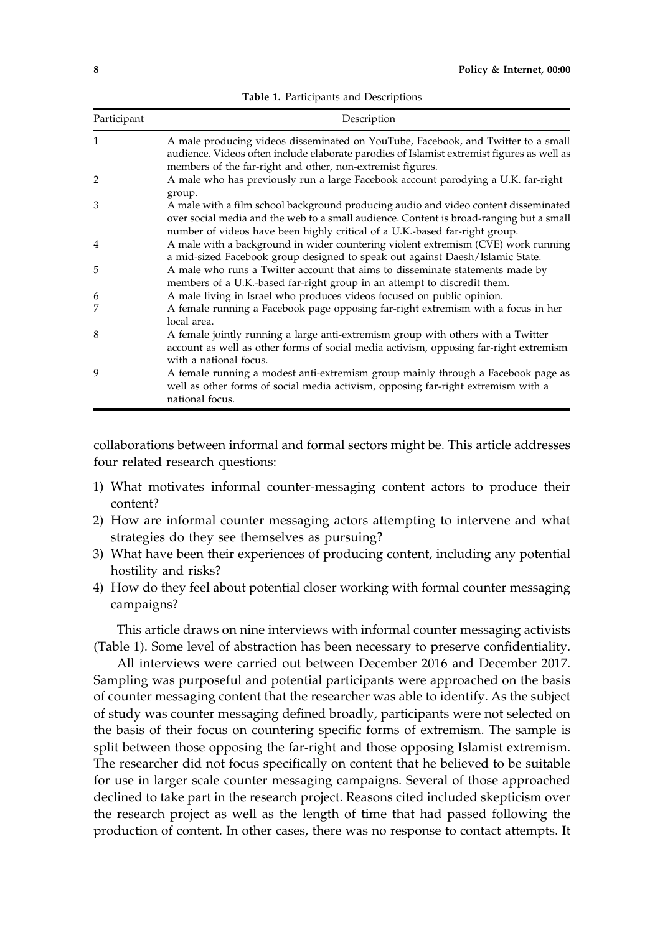| Participant    | Description                                                                                                                                                                                                                                                   |
|----------------|---------------------------------------------------------------------------------------------------------------------------------------------------------------------------------------------------------------------------------------------------------------|
| 1              | A male producing videos disseminated on YouTube, Facebook, and Twitter to a small<br>audience. Videos often include elaborate parodies of Islamist extremist figures as well as<br>members of the far-right and other, non-extremist figures.                 |
| $\overline{2}$ | A male who has previously run a large Facebook account parodying a U.K. far-right<br>group.                                                                                                                                                                   |
| 3              | A male with a film school background producing audio and video content disseminated<br>over social media and the web to a small audience. Content is broad-ranging but a small<br>number of videos have been highly critical of a U.K.-based far-right group. |
| 4              | A male with a background in wider countering violent extremism (CVE) work running<br>a mid-sized Facebook group designed to speak out against Daesh/Islamic State.                                                                                            |
| 5              | A male who runs a Twitter account that aims to disseminate statements made by<br>members of a U.K.-based far-right group in an attempt to discredit them.                                                                                                     |
| 6              | A male living in Israel who produces videos focused on public opinion.                                                                                                                                                                                        |
| 7              | A female running a Facebook page opposing far-right extremism with a focus in her<br>local area.                                                                                                                                                              |
| 8              | A female jointly running a large anti-extremism group with others with a Twitter<br>account as well as other forms of social media activism, opposing far-right extremism<br>with a national focus.                                                           |
| 9              | A female running a modest anti-extremism group mainly through a Facebook page as<br>well as other forms of social media activism, opposing far-right extremism with a<br>national focus.                                                                      |

Table 1. Participants and Descriptions

collaborations between informal and formal sectors might be. This article addresses four related research questions:

- 1) What motivates informal counter‐messaging content actors to produce their content?
- 2) How are informal counter messaging actors attempting to intervene and what strategies do they see themselves as pursuing?
- 3) What have been their experiences of producing content, including any potential hostility and risks?
- 4) How do they feel about potential closer working with formal counter messaging campaigns?

This article draws on nine interviews with informal counter messaging activists (Table 1). Some level of abstraction has been necessary to preserve confidentiality.

All interviews were carried out between December 2016 and December 2017. Sampling was purposeful and potential participants were approached on the basis of counter messaging content that the researcher was able to identify. As the subject of study was counter messaging defined broadly, participants were not selected on the basis of their focus on countering specific forms of extremism. The sample is split between those opposing the far-right and those opposing Islamist extremism. The researcher did not focus specifically on content that he believed to be suitable for use in larger scale counter messaging campaigns. Several of those approached declined to take part in the research project. Reasons cited included skepticism over the research project as well as the length of time that had passed following the production of content. In other cases, there was no response to contact attempts. It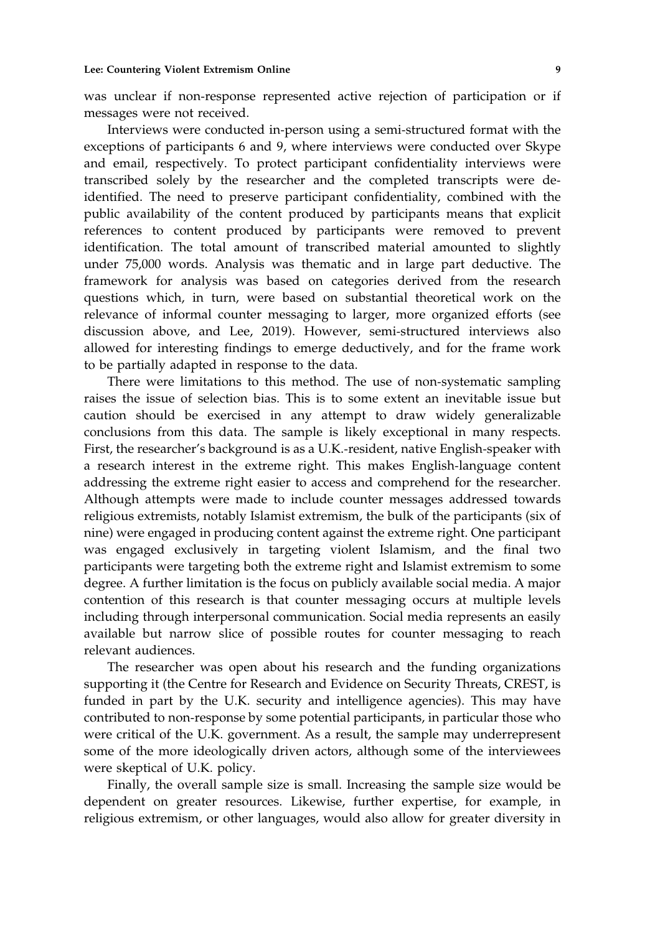was unclear if non-response represented active rejection of participation or if messages were not received.

Interviews were conducted in‐person using a semi‐structured format with the exceptions of participants 6 and 9, where interviews were conducted over Skype and email, respectively. To protect participant confidentiality interviews were transcribed solely by the researcher and the completed transcripts were de‐ identified. The need to preserve participant confidentiality, combined with the public availability of the content produced by participants means that explicit references to content produced by participants were removed to prevent identification. The total amount of transcribed material amounted to slightly under 75,000 words. Analysis was thematic and in large part deductive. The framework for analysis was based on categories derived from the research questions which, in turn, were based on substantial theoretical work on the relevance of informal counter messaging to larger, more organized efforts (see discussion above, and Lee, 2019). However, semi‐structured interviews also allowed for interesting findings to emerge deductively, and for the frame work to be partially adapted in response to the data.

There were limitations to this method. The use of non-systematic sampling raises the issue of selection bias. This is to some extent an inevitable issue but caution should be exercised in any attempt to draw widely generalizable conclusions from this data. The sample is likely exceptional in many respects. First, the researcher's background is as a U.K.‐resident, native English‐speaker with a research interest in the extreme right. This makes English‐language content addressing the extreme right easier to access and comprehend for the researcher. Although attempts were made to include counter messages addressed towards religious extremists, notably Islamist extremism, the bulk of the participants (six of nine) were engaged in producing content against the extreme right. One participant was engaged exclusively in targeting violent Islamism, and the final two participants were targeting both the extreme right and Islamist extremism to some degree. A further limitation is the focus on publicly available social media. A major contention of this research is that counter messaging occurs at multiple levels including through interpersonal communication. Social media represents an easily available but narrow slice of possible routes for counter messaging to reach relevant audiences.

The researcher was open about his research and the funding organizations supporting it (the Centre for Research and Evidence on Security Threats, CREST, is funded in part by the U.K. security and intelligence agencies). This may have contributed to non‐response by some potential participants, in particular those who were critical of the U.K. government. As a result, the sample may underrepresent some of the more ideologically driven actors, although some of the interviewees were skeptical of U.K. policy.

Finally, the overall sample size is small. Increasing the sample size would be dependent on greater resources. Likewise, further expertise, for example, in religious extremism, or other languages, would also allow for greater diversity in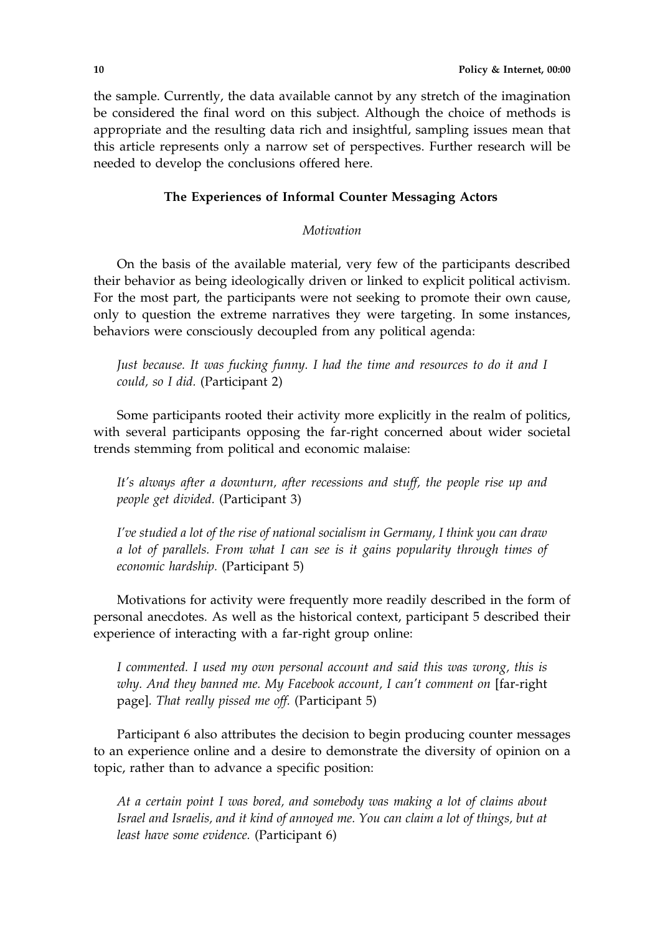the sample. Currently, the data available cannot by any stretch of the imagination be considered the final word on this subject. Although the choice of methods is appropriate and the resulting data rich and insightful, sampling issues mean that this article represents only a narrow set of perspectives. Further research will be needed to develop the conclusions offered here.

# The Experiences of Informal Counter Messaging Actors

## **Motivation**

On the basis of the available material, very few of the participants described their behavior as being ideologically driven or linked to explicit political activism. For the most part, the participants were not seeking to promote their own cause, only to question the extreme narratives they were targeting. In some instances, behaviors were consciously decoupled from any political agenda:

Just because. It was fucking funny. I had the time and resources to do it and I could, so I did. (Participant 2)

Some participants rooted their activity more explicitly in the realm of politics, with several participants opposing the far-right concerned about wider societal trends stemming from political and economic malaise:

It's always after a downturn, after recessions and stuff, the people rise up and people get divided. (Participant 3)

I've studied a lot of the rise of national socialism in Germany, I think you can draw a lot of parallels. From what I can see is it gains popularity through times of economic hardship. (Participant 5)

Motivations for activity were frequently more readily described in the form of personal anecdotes. As well as the historical context, participant 5 described their experience of interacting with a far-right group online:

I commented. I used my own personal account and said this was wrong, this is why. And they banned me. My Facebook account, I can't comment on [far-right page]. That really pissed me off. (Participant 5)

Participant 6 also attributes the decision to begin producing counter messages to an experience online and a desire to demonstrate the diversity of opinion on a topic, rather than to advance a specific position:

At a certain point I was bored, and somebody was making a lot of claims about Israel and Israelis, and it kind of annoyed me. You can claim a lot of things, but at least have some evidence. (Participant 6)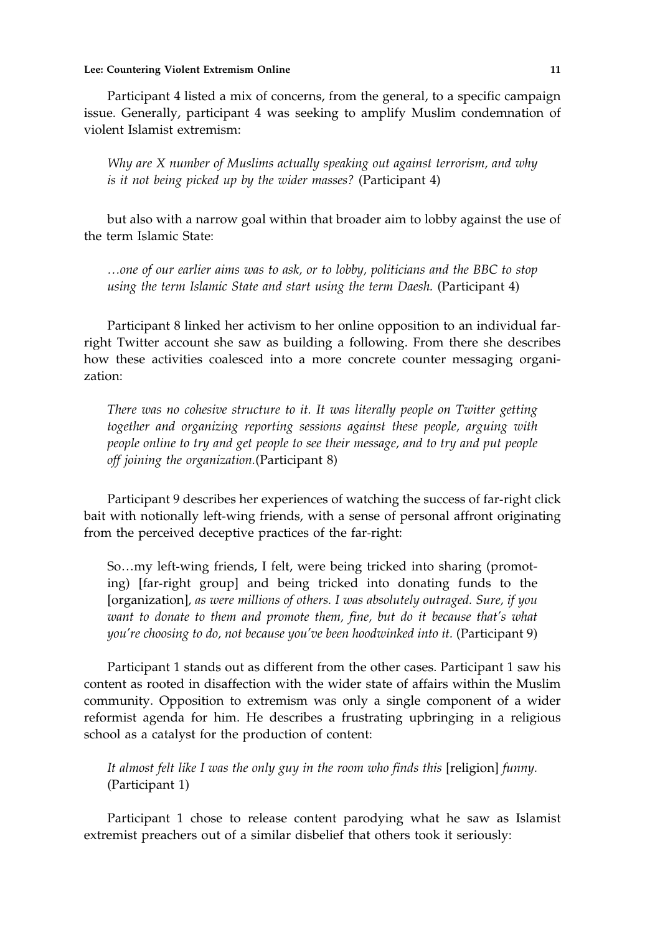#### Lee: Countering Violent Extremism Online 11 and 200 minutes of the 11 and 200 minutes of the 11 and 200 minutes of the 11 and 200 minutes of the 11 and 200 minutes of the 11 and 200 minutes of the 12 and 200 minutes of the

Participant 4 listed a mix of concerns, from the general, to a specific campaign issue. Generally, participant 4 was seeking to amplify Muslim condemnation of violent Islamist extremism:

Why are X number of Muslims actually speaking out against terrorism, and why is it not being picked up by the wider masses? (Participant 4)

but also with a narrow goal within that broader aim to lobby against the use of the term Islamic State:

…one of our earlier aims was to ask, or to lobby, politicians and the BBC to stop using the term Islamic State and start using the term Daesh. (Participant 4)

Participant 8 linked her activism to her online opposition to an individual far‐ right Twitter account she saw as building a following. From there she describes how these activities coalesced into a more concrete counter messaging organization:

There was no cohesive structure to it. It was literally people on Twitter getting together and organizing reporting sessions against these people, arguing with people online to try and get people to see their message, and to try and put people off joining the organization.(Participant 8)

Participant 9 describes her experiences of watching the success of far-right click bait with notionally left-wing friends, with a sense of personal affront originating from the perceived deceptive practices of the far-right:

So...my left-wing friends, I felt, were being tricked into sharing (promoting) [far‐right group] and being tricked into donating funds to the [organization], as were millions of others. I was absolutely outraged. Sure, if you want to donate to them and promote them, fine, but do it because that's what you're choosing to do, not because you've been hoodwinked into it. (Participant 9)

Participant 1 stands out as different from the other cases. Participant 1 saw his content as rooted in disaffection with the wider state of affairs within the Muslim community. Opposition to extremism was only a single component of a wider reformist agenda for him. He describes a frustrating upbringing in a religious school as a catalyst for the production of content:

It almost felt like I was the only guy in the room who finds this [religion] funny. (Participant 1)

Participant 1 chose to release content parodying what he saw as Islamist extremist preachers out of a similar disbelief that others took it seriously: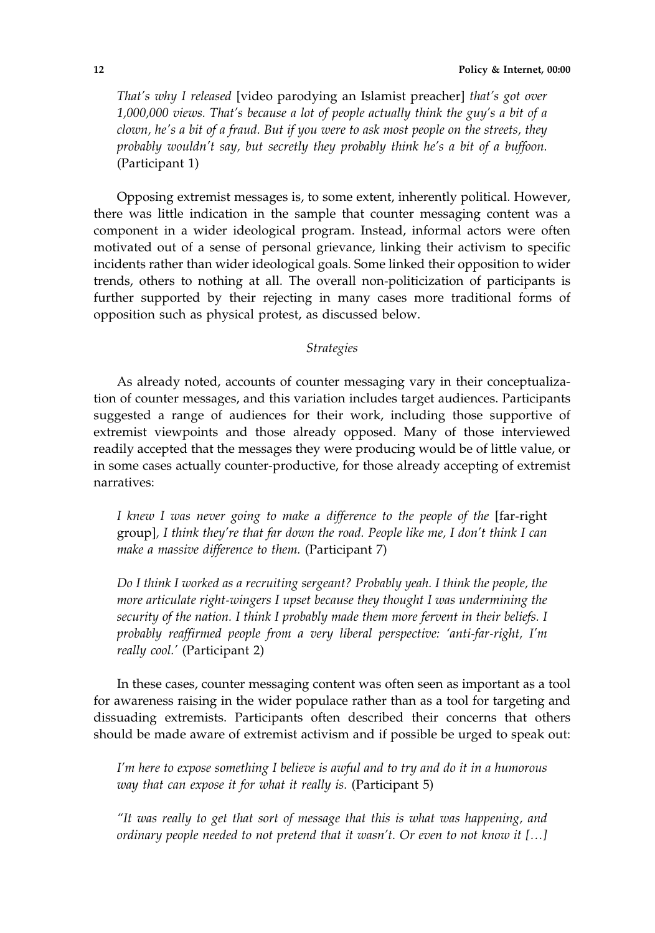That's why I released [video parodying an Islamist preacher] that's got over 1,000,000 views. That's because a lot of people actually think the guy's a bit of a clown, he's a bit of a fraud. But if you were to ask most people on the streets, they probably wouldn't say, but secretly they probably think he's a bit of a buffoon. (Participant 1)

Opposing extremist messages is, to some extent, inherently political. However, there was little indication in the sample that counter messaging content was a component in a wider ideological program. Instead, informal actors were often motivated out of a sense of personal grievance, linking their activism to specific incidents rather than wider ideological goals. Some linked their opposition to wider trends, others to nothing at all. The overall non‐politicization of participants is further supported by their rejecting in many cases more traditional forms of opposition such as physical protest, as discussed below.

# Strategies

As already noted, accounts of counter messaging vary in their conceptualization of counter messages, and this variation includes target audiences. Participants suggested a range of audiences for their work, including those supportive of extremist viewpoints and those already opposed. Many of those interviewed readily accepted that the messages they were producing would be of little value, or in some cases actually counter‐productive, for those already accepting of extremist narratives:

I knew I was never going to make a difference to the people of the [far-right group], I think they're that far down the road. People like me, I don't think I can make a massive difference to them. (Participant 7)

Do I think I worked as a recruiting sergeant? Probably yeah. I think the people, the more articulate right-wingers I upset because they thought I was undermining the security of the nation. I think I probably made them more fervent in their beliefs. I probably reaffirmed people from a very liberal perspective: 'anti-far-right, I'm really cool.' (Participant 2)

In these cases, counter messaging content was often seen as important as a tool for awareness raising in the wider populace rather than as a tool for targeting and dissuading extremists. Participants often described their concerns that others should be made aware of extremist activism and if possible be urged to speak out:

I'm here to expose something I believe is awful and to try and do it in a humorous way that can expose it for what it really is. (Participant 5)

"It was really to get that sort of message that this is what was happening, and ordinary people needed to not pretend that it wasn't. Or even to not know it […]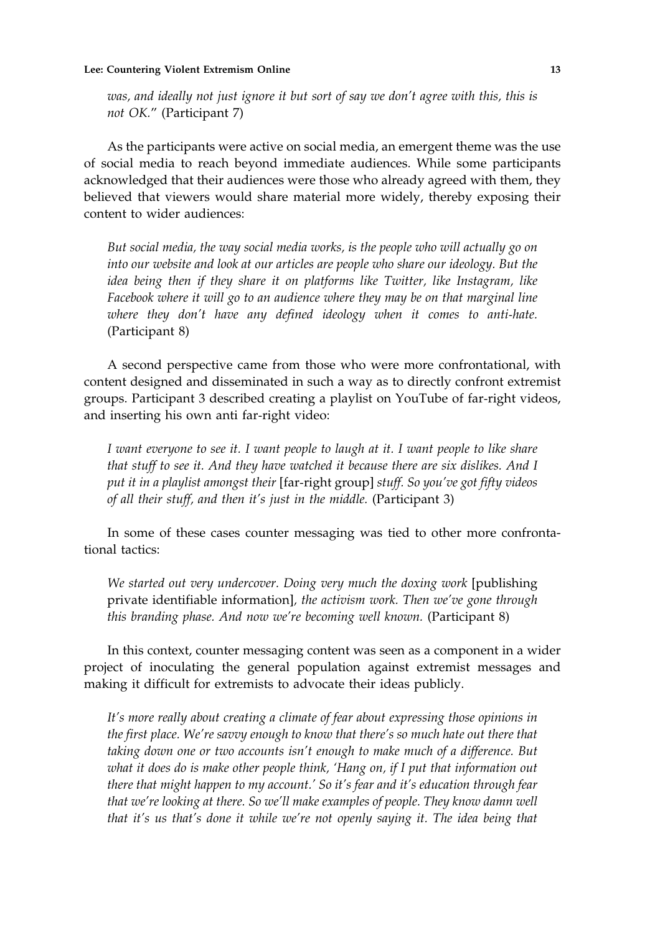was, and ideally not just ignore it but sort of say we don't agree with this, this is not OK." (Participant 7)

As the participants were active on social media, an emergent theme was the use of social media to reach beyond immediate audiences. While some participants acknowledged that their audiences were those who already agreed with them, they believed that viewers would share material more widely, thereby exposing their content to wider audiences:

But social media, the way social media works, is the people who will actually go on into our website and look at our articles are people who share our ideology. But the idea being then if they share it on platforms like Twitter, like Instagram, like Facebook where it will go to an audience where they may be on that marginal line where they don't have any defined ideology when it comes to anti‐hate. (Participant 8)

A second perspective came from those who were more confrontational, with content designed and disseminated in such a way as to directly confront extremist groups. Participant 3 described creating a playlist on YouTube of far‐right videos, and inserting his own anti far‐right video:

I want everyone to see it. I want people to laugh at it. I want people to like share that stuff to see it. And they have watched it because there are six dislikes. And I put it in a playlist amongst their [far-right group] stuff. So you've got fifty videos of all their stuff, and then it's just in the middle. (Participant 3)

In some of these cases counter messaging was tied to other more confrontational tactics:

We started out very undercover. Doing very much the doxing work [publishing] private identifiable information], the activism work. Then we've gone through this branding phase. And now we're becoming well known. (Participant 8)

In this context, counter messaging content was seen as a component in a wider project of inoculating the general population against extremist messages and making it difficult for extremists to advocate their ideas publicly.

It's more really about creating a climate of fear about expressing those opinions in the first place. We're savvy enough to know that there's so much hate out there that taking down one or two accounts isn't enough to make much of a difference. But what it does do is make other people think, 'Hang on, if I put that information out there that might happen to my account.' So it's fear and it's education through fear that we're looking at there. So we'll make examples of people. They know damn well that it's us that's done it while we're not openly saying it. The idea being that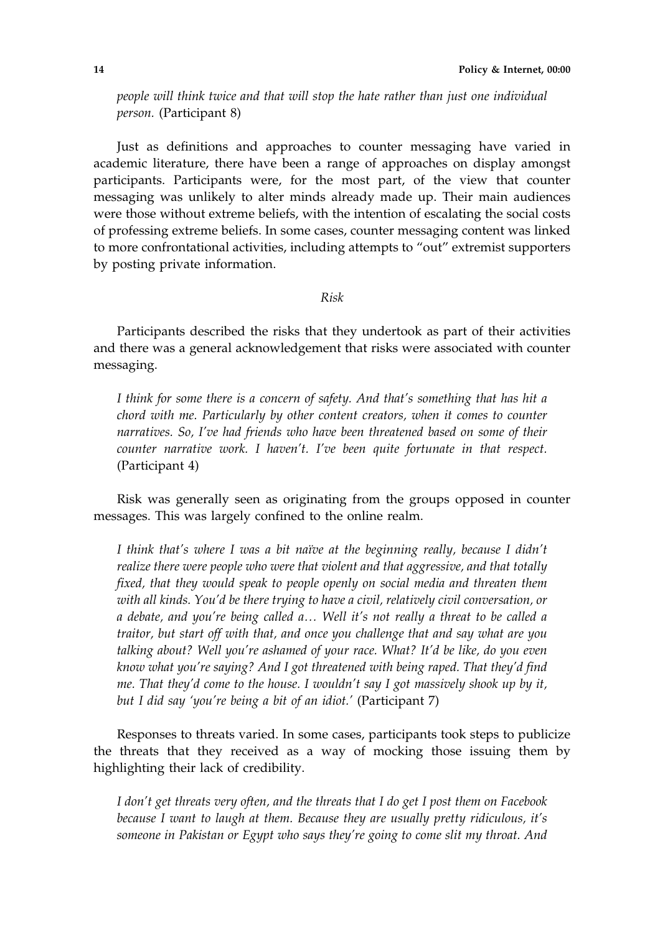people will think twice and that will stop the hate rather than just one individual person. (Participant 8)

Just as definitions and approaches to counter messaging have varied in academic literature, there have been a range of approaches on display amongst participants. Participants were, for the most part, of the view that counter messaging was unlikely to alter minds already made up. Their main audiences were those without extreme beliefs, with the intention of escalating the social costs of professing extreme beliefs. In some cases, counter messaging content was linked to more confrontational activities, including attempts to "out" extremist supporters by posting private information.

Risk

Participants described the risks that they undertook as part of their activities and there was a general acknowledgement that risks were associated with counter messaging.

I think for some there is a concern of safety. And that's something that has hit a chord with me. Particularly by other content creators, when it comes to counter narratives. So, I've had friends who have been threatened based on some of their counter narrative work. I haven't. I've been quite fortunate in that respect. (Participant 4)

Risk was generally seen as originating from the groups opposed in counter messages. This was largely confined to the online realm.

I think that's where I was a bit naïve at the beginning really, because I didn't realize there were people who were that violent and that aggressive, and that totally fixed, that they would speak to people openly on social media and threaten them with all kinds. You'd be there trying to have a civil, relatively civil conversation, or a debate, and you're being called a… Well it's not really a threat to be called a traitor, but start off with that, and once you challenge that and say what are you talking about? Well you're ashamed of your race. What? It'd be like, do you even know what you're saying? And I got threatened with being raped. That they'd find me. That they'd come to the house. I wouldn't say I got massively shook up by it, but I did say 'you're being a bit of an idiot.' (Participant 7)

Responses to threats varied. In some cases, participants took steps to publicize the threats that they received as a way of mocking those issuing them by highlighting their lack of credibility.

I don't get threats very often, and the threats that I do get I post them on Facebook because I want to laugh at them. Because they are usually pretty ridiculous, it's someone in Pakistan or Egypt who says they're going to come slit my throat. And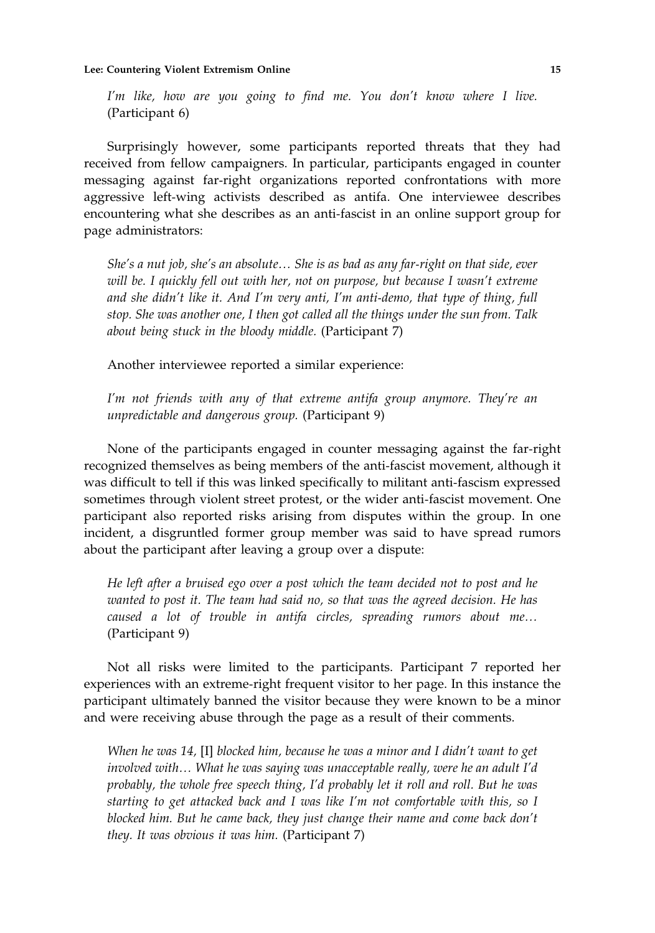I'm like, how are you going to find me. You don't know where I live. (Participant 6)

Surprisingly however, some participants reported threats that they had received from fellow campaigners. In particular, participants engaged in counter messaging against far‐right organizations reported confrontations with more aggressive left-wing activists described as antifa. One interviewee describes encountering what she describes as an anti‐fascist in an online support group for page administrators:

She's a nut job, she's an absolute… She is as bad as any far‐right on that side, ever will be. I quickly fell out with her, not on purpose, but because I wasn't extreme and she didn't like it. And I'm very anti, I'm anti‐demo, that type of thing, full stop. She was another one, I then got called all the things under the sun from. Talk about being stuck in the bloody middle. (Participant 7)

Another interviewee reported a similar experience:

I'm not friends with any of that extreme antifa group anymore. They're an unpredictable and dangerous group. (Participant 9)

None of the participants engaged in counter messaging against the far-right recognized themselves as being members of the anti‐fascist movement, although it was difficult to tell if this was linked specifically to militant anti-fascism expressed sometimes through violent street protest, or the wider anti-fascist movement. One participant also reported risks arising from disputes within the group. In one incident, a disgruntled former group member was said to have spread rumors about the participant after leaving a group over a dispute:

He left after a bruised ego over a post which the team decided not to post and he wanted to post it. The team had said no, so that was the agreed decision. He has caused a lot of trouble in antifa circles, spreading rumors about me… (Participant 9)

Not all risks were limited to the participants. Participant 7 reported her experiences with an extreme‐right frequent visitor to her page. In this instance the participant ultimately banned the visitor because they were known to be a minor and were receiving abuse through the page as a result of their comments.

When he was 14, [I] blocked him, because he was a minor and I didn't want to get involved with… What he was saying was unacceptable really, were he an adult I'd probably, the whole free speech thing, I'd probably let it roll and roll. But he was starting to get attacked back and I was like I'm not comfortable with this, so I blocked him. But he came back, they just change their name and come back don't they. It was obvious it was him. (Participant 7)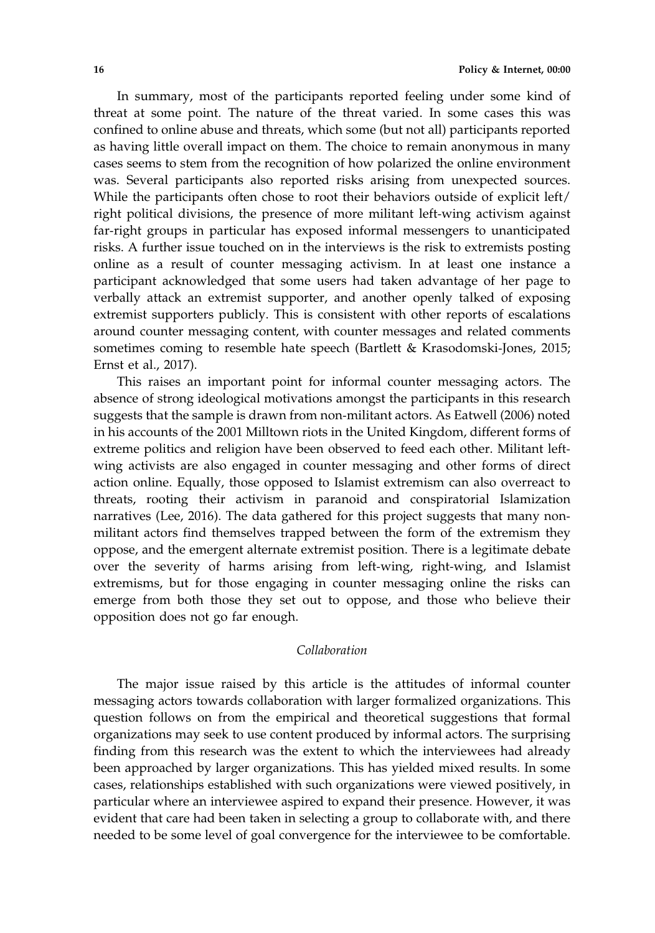In summary, most of the participants reported feeling under some kind of threat at some point. The nature of the threat varied. In some cases this was confined to online abuse and threats, which some (but not all) participants reported as having little overall impact on them. The choice to remain anonymous in many cases seems to stem from the recognition of how polarized the online environment was. Several participants also reported risks arising from unexpected sources. While the participants often chose to root their behaviors outside of explicit left/ right political divisions, the presence of more militant left‐wing activism against far-right groups in particular has exposed informal messengers to unanticipated risks. A further issue touched on in the interviews is the risk to extremists posting online as a result of counter messaging activism. In at least one instance a participant acknowledged that some users had taken advantage of her page to verbally attack an extremist supporter, and another openly talked of exposing extremist supporters publicly. This is consistent with other reports of escalations around counter messaging content, with counter messages and related comments sometimes coming to resemble hate speech (Bartlett & Krasodomski-Jones, 2015; Ernst et al., 2017).

This raises an important point for informal counter messaging actors. The absence of strong ideological motivations amongst the participants in this research suggests that the sample is drawn from non‐militant actors. As Eatwell (2006) noted in his accounts of the 2001 Milltown riots in the United Kingdom, different forms of extreme politics and religion have been observed to feed each other. Militant leftwing activists are also engaged in counter messaging and other forms of direct action online. Equally, those opposed to Islamist extremism can also overreact to threats, rooting their activism in paranoid and conspiratorial Islamization narratives (Lee, 2016). The data gathered for this project suggests that many non‐ militant actors find themselves trapped between the form of the extremism they oppose, and the emergent alternate extremist position. There is a legitimate debate over the severity of harms arising from left‐wing, right‐wing, and Islamist extremisms, but for those engaging in counter messaging online the risks can emerge from both those they set out to oppose, and those who believe their opposition does not go far enough.

## Collaboration

The major issue raised by this article is the attitudes of informal counter messaging actors towards collaboration with larger formalized organizations. This question follows on from the empirical and theoretical suggestions that formal organizations may seek to use content produced by informal actors. The surprising finding from this research was the extent to which the interviewees had already been approached by larger organizations. This has yielded mixed results. In some cases, relationships established with such organizations were viewed positively, in particular where an interviewee aspired to expand their presence. However, it was evident that care had been taken in selecting a group to collaborate with, and there needed to be some level of goal convergence for the interviewee to be comfortable.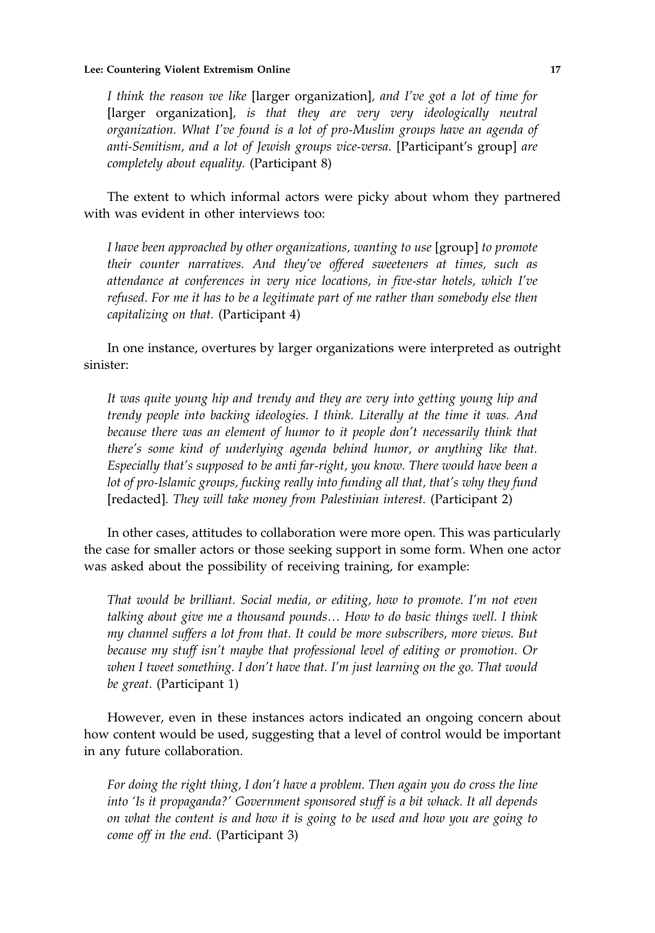#### Lee: Countering Violent Extremism Online 17

I think the reason we like [larger organization], and I've got a lot of time for [larger organization], is that they are very very ideologically neutral organization. What I've found is a lot of pro‐Muslim groups have an agenda of anti-Semitism, and a lot of Jewish groups vice-versa. [Participant's group] are completely about equality. (Participant 8)

The extent to which informal actors were picky about whom they partnered with was evident in other interviews too:

I have been approached by other organizations, wanting to use [group] to promote their counter narratives. And they've offered sweeteners at times, such as attendance at conferences in very nice locations, in five‐star hotels, which I've refused. For me it has to be a legitimate part of me rather than somebody else then capitalizing on that. (Participant 4)

In one instance, overtures by larger organizations were interpreted as outright sinister:

It was quite young hip and trendy and they are very into getting young hip and trendy people into backing ideologies. I think. Literally at the time it was. And because there was an element of humor to it people don't necessarily think that there's some kind of underlying agenda behind humor, or anything like that. Especially that's supposed to be anti far-right, you know. There would have been a lot of pro-Islamic groups, fucking really into funding all that, that's why they fund [redacted]. They will take money from Palestinian interest. (Participant 2)

In other cases, attitudes to collaboration were more open. This was particularly the case for smaller actors or those seeking support in some form. When one actor was asked about the possibility of receiving training, for example:

That would be brilliant. Social media, or editing, how to promote. I'm not even talking about give me a thousand pounds… How to do basic things well. I think my channel suffers a lot from that. It could be more subscribers, more views. But because my stuff isn't maybe that professional level of editing or promotion. Or when I tweet something. I don't have that. I'm just learning on the go. That would be great. (Participant 1)

However, even in these instances actors indicated an ongoing concern about how content would be used, suggesting that a level of control would be important in any future collaboration.

For doing the right thing, I don't have a problem. Then again you do cross the line into 'Is it propaganda?' Government sponsored stuff is a bit whack. It all depends on what the content is and how it is going to be used and how you are going to come off in the end. (Participant 3)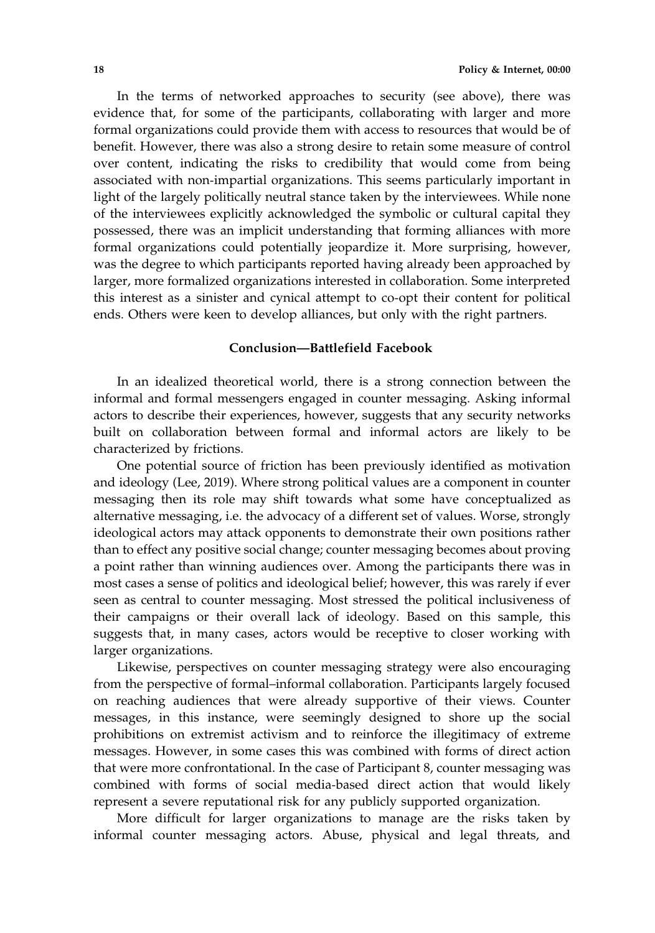In the terms of networked approaches to security (see above), there was evidence that, for some of the participants, collaborating with larger and more formal organizations could provide them with access to resources that would be of benefit. However, there was also a strong desire to retain some measure of control over content, indicating the risks to credibility that would come from being associated with non‐impartial organizations. This seems particularly important in light of the largely politically neutral stance taken by the interviewees. While none of the interviewees explicitly acknowledged the symbolic or cultural capital they possessed, there was an implicit understanding that forming alliances with more formal organizations could potentially jeopardize it. More surprising, however, was the degree to which participants reported having already been approached by larger, more formalized organizations interested in collaboration. Some interpreted this interest as a sinister and cynical attempt to co‐opt their content for political ends. Others were keen to develop alliances, but only with the right partners.

# Conclusion—Battlefield Facebook

In an idealized theoretical world, there is a strong connection between the informal and formal messengers engaged in counter messaging. Asking informal actors to describe their experiences, however, suggests that any security networks built on collaboration between formal and informal actors are likely to be characterized by frictions.

One potential source of friction has been previously identified as motivation and ideology (Lee, 2019). Where strong political values are a component in counter messaging then its role may shift towards what some have conceptualized as alternative messaging, i.e. the advocacy of a different set of values. Worse, strongly ideological actors may attack opponents to demonstrate their own positions rather than to effect any positive social change; counter messaging becomes about proving a point rather than winning audiences over. Among the participants there was in most cases a sense of politics and ideological belief; however, this was rarely if ever seen as central to counter messaging. Most stressed the political inclusiveness of their campaigns or their overall lack of ideology. Based on this sample, this suggests that, in many cases, actors would be receptive to closer working with larger organizations.

Likewise, perspectives on counter messaging strategy were also encouraging from the perspective of formal–informal collaboration. Participants largely focused on reaching audiences that were already supportive of their views. Counter messages, in this instance, were seemingly designed to shore up the social prohibitions on extremist activism and to reinforce the illegitimacy of extreme messages. However, in some cases this was combined with forms of direct action that were more confrontational. In the case of Participant 8, counter messaging was combined with forms of social media‐based direct action that would likely represent a severe reputational risk for any publicly supported organization.

More difficult for larger organizations to manage are the risks taken by informal counter messaging actors. Abuse, physical and legal threats, and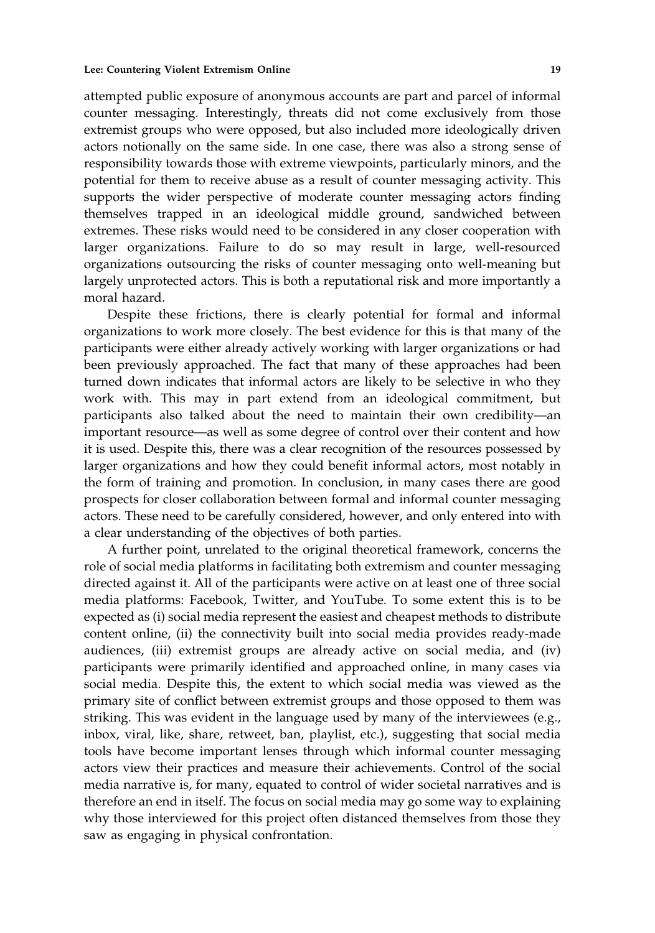attempted public exposure of anonymous accounts are part and parcel of informal counter messaging. Interestingly, threats did not come exclusively from those extremist groups who were opposed, but also included more ideologically driven actors notionally on the same side. In one case, there was also a strong sense of responsibility towards those with extreme viewpoints, particularly minors, and the potential for them to receive abuse as a result of counter messaging activity. This supports the wider perspective of moderate counter messaging actors finding themselves trapped in an ideological middle ground, sandwiched between extremes. These risks would need to be considered in any closer cooperation with larger organizations. Failure to do so may result in large, well-resourced organizations outsourcing the risks of counter messaging onto well‐meaning but largely unprotected actors. This is both a reputational risk and more importantly a moral hazard.

Despite these frictions, there is clearly potential for formal and informal organizations to work more closely. The best evidence for this is that many of the participants were either already actively working with larger organizations or had been previously approached. The fact that many of these approaches had been turned down indicates that informal actors are likely to be selective in who they work with. This may in part extend from an ideological commitment, but participants also talked about the need to maintain their own credibility—an important resource—as well as some degree of control over their content and how it is used. Despite this, there was a clear recognition of the resources possessed by larger organizations and how they could benefit informal actors, most notably in the form of training and promotion. In conclusion, in many cases there are good prospects for closer collaboration between formal and informal counter messaging actors. These need to be carefully considered, however, and only entered into with a clear understanding of the objectives of both parties.

A further point, unrelated to the original theoretical framework, concerns the role of social media platforms in facilitating both extremism and counter messaging directed against it. All of the participants were active on at least one of three social media platforms: Facebook, Twitter, and YouTube. To some extent this is to be expected as (i) social media represent the easiest and cheapest methods to distribute content online, (ii) the connectivity built into social media provides ready-made audiences, (iii) extremist groups are already active on social media, and (iv) participants were primarily identified and approached online, in many cases via social media. Despite this, the extent to which social media was viewed as the primary site of conflict between extremist groups and those opposed to them was striking. This was evident in the language used by many of the interviewees  $(e.g.,$ inbox, viral, like, share, retweet, ban, playlist, etc.), suggesting that social media tools have become important lenses through which informal counter messaging actors view their practices and measure their achievements. Control of the social media narrative is, for many, equated to control of wider societal narratives and is therefore an end in itself. The focus on social media may go some way to explaining why those interviewed for this project often distanced themselves from those they saw as engaging in physical confrontation.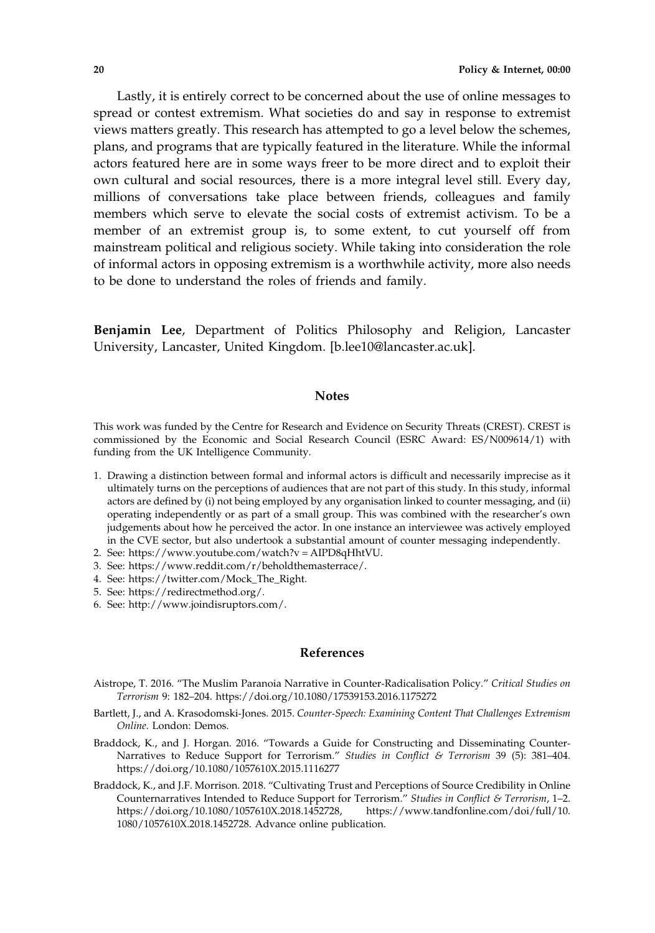Lastly, it is entirely correct to be concerned about the use of online messages to spread or contest extremism. What societies do and say in response to extremist views matters greatly. This research has attempted to go a level below the schemes, plans, and programs that are typically featured in the literature. While the informal actors featured here are in some ways freer to be more direct and to exploit their own cultural and social resources, there is a more integral level still. Every day, millions of conversations take place between friends, colleagues and family members which serve to elevate the social costs of extremist activism. To be a member of an extremist group is, to some extent, to cut yourself off from mainstream political and religious society. While taking into consideration the role of informal actors in opposing extremism is a worthwhile activity, more also needs to be done to understand the roles of friends and family.

Benjamin Lee, Department of Politics Philosophy and Religion, Lancaster University, Lancaster, United Kingdom. [b.lee10@lancaster.ac.uk].

## **Notes**

This work was funded by the Centre for Research and Evidence on Security Threats (CREST). CREST is commissioned by the Economic and Social Research Council (ESRC Award: ES/N009614/1) with funding from the UK Intelligence Community.

- 1. Drawing a distinction between formal and informal actors is difficult and necessarily imprecise as it ultimately turns on the perceptions of audiences that are not part of this study. In this study, informal actors are defined by (i) not being employed by any organisation linked to counter messaging, and (ii) operating independently or as part of a small group. This was combined with the researcher's own judgements about how he perceived the actor. In one instance an interviewee was actively employed in the CVE sector, but also undertook a substantial amount of counter messaging independently.
- 2. See: [https://www.youtube.com/watch?v = AIPD8qHhtVU](https://www.youtube.com/watch?v=AIPD8qHhtVU).
- 3. See: [https://www.reddit.com/r/beholdthemasterrace/.](https://www.reddit.com/r/beholdthemasterrace/)
- 4. See: [https://twitter.com/Mock\\_The\\_Right.](https://twitter.com/Mock_The_Right)
- 5. See:<https://redirectmethod.org/>.
- 6. See:<http://www.joindisruptors.com/>.

# References

- Aistrope, T. 2016. "The Muslim Paranoia Narrative in Counter‐Radicalisation Policy." Critical Studies on Terrorism 9: 182–204.<https://doi.org/10.1080/17539153.2016.1175272>
- Bartlett, J., and A. Krasodomski-Jones. 2015. Counter-Speech: Examining Content That Challenges Extremism Online. London: Demos.
- Braddock, K., and J. Horgan. 2016. "Towards a Guide for Constructing and Disseminating Counter‐ Narratives to Reduce Support for Terrorism." Studies in Conflict & Terrorism 39 (5): 381-404. <https://doi.org/10.1080/1057610X.2015.1116277>
- Braddock, K., and J.F. Morrison. 2018. "Cultivating Trust and Perceptions of Source Credibility in Online Counternarratives Intended to Reduce Support for Terrorism." Studies in Conflict & Terrorism, 1–2. [https://doi.org/10.1080/1057610X.2018.1452728,](https://doi.org/10.1080/1057610X.2018.1452728) [https://www.tandfonline.com/doi/full/10.](https://www.tandfonline.com/doi/full/10.1080/1057610X.2018.1452728) [1080/1057610X.2018.1452728.](https://www.tandfonline.com/doi/full/10.1080/1057610X.2018.1452728) Advance online publication.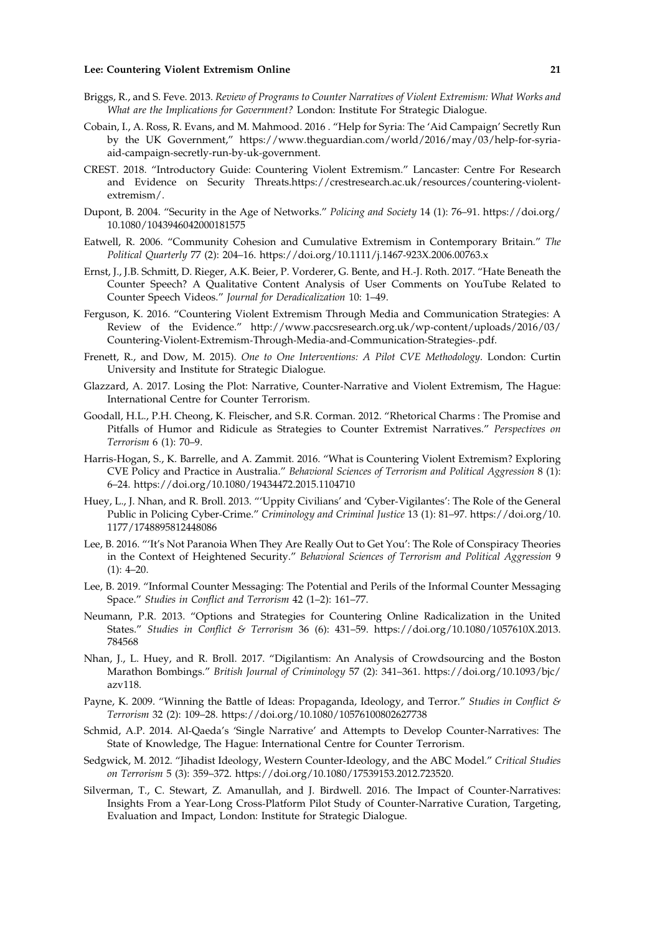#### Lee: Countering Violent Extremism Online 21

- Briggs, R., and S. Feve. 2013. Review of Programs to Counter Narratives of Violent Extremism: What Works and What are the Implications for Government? London: Institute For Strategic Dialogue.
- Cobain, I., A. Ross, R. Evans, and M. Mahmood. 2016 . "Help for Syria: The 'Aid Campaign' Secretly Run by the UK Government," [https://www.theguardian.com/world/2016/may/03/help](https://www.theguardian.com/world/2016/may/03/help-for-syria-aid-campaign-secretly-run-by-uk-government)-for-syriaaid‐campaign‐secretly‐run‐by‐uk‐[government](https://www.theguardian.com/world/2016/may/03/help-for-syria-aid-campaign-secretly-run-by-uk-government).
- CREST. 2018. "Introductory Guide: Countering Violent Extremism." Lancaster: Centre For Research and Evidence on Security Threats.[https://crestresearch.ac.uk/resources/countering](https://crestresearch.ac.uk/resources/countering-violent-extremism/)‐violent‐ [extremism/.](https://crestresearch.ac.uk/resources/countering-violent-extremism/)
- Dupont, B. 2004. "Security in the Age of Networks." Policing and Society 14 (1): 76–91. [https://doi.org/](https://doi.org/10.1080/1043946042000181575) [10.1080/1043946042000181575](https://doi.org/10.1080/1043946042000181575)
- Eatwell, R. 2006. "Community Cohesion and Cumulative Extremism in Contemporary Britain." The Political Quarterly 77 (2): 204–16. [https://doi.org/10.1111/j.1467](https://doi.org/10.1111/j.1467-923X.2006.00763.x)‐923X.2006.00763.x
- Ernst, J., J.B. Schmitt, D. Rieger, A.K. Beier, P. Vorderer, G. Bente, and H.‐J. Roth. 2017. "Hate Beneath the Counter Speech? A Qualitative Content Analysis of User Comments on YouTube Related to Counter Speech Videos." Journal for Deradicalization 10: 1–49.
- Ferguson, K. 2016. "Countering Violent Extremism Through Media and Communication Strategies: A Review of the Evidence." [http://www.paccsresearch.org.uk/wp](http://www.paccsresearch.org.uk/wp-content/uploads/2016/03/Countering-Violent-Extremism-Through-Media-and-Communication-Strategies-.pdf)‐content/uploads/2016/03/ Countering‐Violent‐Extremism‐Through‐Media‐and‐[Communication](http://www.paccsresearch.org.uk/wp-content/uploads/2016/03/Countering-Violent-Extremism-Through-Media-and-Communication-Strategies-.pdf)‐Strategies‐.pdf.
- Frenett, R., and Dow, M. 2015). One to One Interventions: A Pilot CVE Methodology. London: Curtin University and Institute for Strategic Dialogue.
- Glazzard, A. 2017. Losing the Plot: Narrative, Counter‐Narrative and Violent Extremism, The Hague: International Centre for Counter Terrorism.
- Goodall, H.L., P.H. Cheong, K. Fleischer, and S.R. Corman. 2012. "Rhetorical Charms : The Promise and Pitfalls of Humor and Ridicule as Strategies to Counter Extremist Narratives." Perspectives on Terrorism 6 (1): 70–9.
- Harris‐Hogan, S., K. Barrelle, and A. Zammit. 2016. "What is Countering Violent Extremism? Exploring CVE Policy and Practice in Australia." Behavioral Sciences of Terrorism and Political Aggression 8 (1): 6–24.<https://doi.org/10.1080/19434472.2015.1104710>
- Huey, L., J. Nhan, and R. Broll. 2013. "'Uppity Civilians' and 'Cyber‐Vigilantes': The Role of the General Public in Policing Cyber‐Crime." Criminology and Criminal Justice 13 (1): 81–97. [https://doi.org/10.](https://doi.org/10.1177/1748895812448086) [1177/1748895812448086](https://doi.org/10.1177/1748895812448086)
- Lee, B. 2016. "'It's Not Paranoia When They Are Really Out to Get You': The Role of Conspiracy Theories in the Context of Heightened Security." Behavioral Sciences of Terrorism and Political Aggression 9 (1): 4–20.
- Lee, B. 2019. "Informal Counter Messaging: The Potential and Perils of the Informal Counter Messaging Space." Studies in Conflict and Terrorism 42 (1–2): 161–77.
- Neumann, P.R. 2013. "Options and Strategies for Countering Online Radicalization in the United States." Studies in Conflict & Terrorism 36 (6): 431–59. [https://doi.org/10.1080/1057610X.2013.](https://doi.org/10.1080/1057610X.2013.784568) [784568](https://doi.org/10.1080/1057610X.2013.784568)
- Nhan, J., L. Huey, and R. Broll. 2017. "Digilantism: An Analysis of Crowdsourcing and the Boston Marathon Bombings." British Journal of Criminology 57 (2): 341–361. [https://doi.org/10.1093/bjc/](https://doi.org/10.1093/bjc/azv118) [azv118](https://doi.org/10.1093/bjc/azv118).
- Payne, K. 2009. "Winning the Battle of Ideas: Propaganda, Ideology, and Terror." Studies in Conflict & Terrorism 32 (2): 109–28.<https://doi.org/10.1080/10576100802627738>
- Schmid, A.P. 2014. Al‐Qaeda's 'Single Narrative' and Attempts to Develop Counter‐Narratives: The State of Knowledge, The Hague: International Centre for Counter Terrorism.
- Sedgwick, M. 2012. "Jihadist Ideology, Western Counter-Ideology, and the ABC Model." Critical Studies on Terrorism 5 (3): 359–372. [https://doi.org/10.1080/17539153.2012.723520.](https://doi.org/10.1080/17539153.2012.723520)
- Silverman, T., C. Stewart, Z. Amanullah, and J. Birdwell. 2016. The Impact of Counter‐Narratives: Insights From a Year‐Long Cross‐Platform Pilot Study of Counter‐Narrative Curation, Targeting, Evaluation and Impact, London: Institute for Strategic Dialogue.